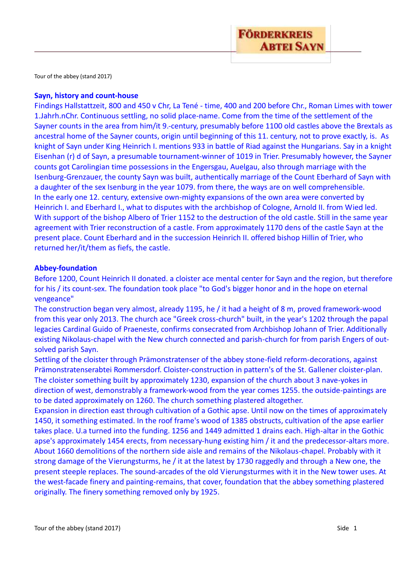

Tour of the abbey (stand 2017)

#### **Sayn, history and count-house**

Findings Hallstattzeit, 800 and 450 v Chr, La Tené - time, 400 and 200 before Chr., Roman Limes with tower 1.Jahrh.nChr. Continuous settling, no solid place-name. Come from the time of the settlement of the Sayner counts in the area from him/it 9.-century, presumably before 1100 old castles above the Brextals as ancestral home of the Sayner counts, origin until beginning of this 11. century, not to prove exactly, is. As knight of Sayn under King Heinrich I. mentions 933 in battle of Riad against the Hungarians. Say in a knight Eisenhan (r) d of Sayn, a presumable tournament-winner of 1019 in Trier. Presumably however, the Sayner counts got Carolingian time possessions in the Engersgau, Auelgau, also through marriage with the Isenburg-Grenzauer, the county Sayn was built, authentically marriage of the Count Eberhard of Sayn with a daughter of the sex Isenburg in the year 1079. from there, the ways are on well comprehensible. In the early one 12. century, extensive own-mighty expansions of the own area were converted by Heinrich I. and Eberhard I., what to disputes with the archbishop of Cologne, Arnold II. from Wied led. With support of the bishop Albero of Trier 1152 to the destruction of the old castle. Still in the same year agreement with Trier reconstruction of a castle. From approximately 1170 dens of the castle Sayn at the present place. Count Eberhard and in the succession Heinrich II. offered bishop Hillin of Trier, who returned her/it/them as fiefs, the castle.

#### **Abbey-foundation**

Before 1200, Count Heinrich II donated. a cloister ace mental center for Sayn and the region, but therefore for his / its count-sex. The foundation took place "to God's bigger honor and in the hope on eternal vengeance"

The construction began very almost, already 1195, he / it had a height of 8 m, proved framework-wood from this year only 2013. The church ace "Greek cross-church" built, in the year's 1202 through the papal legacies Cardinal Guido of Praeneste, confirms consecrated from Archbishop Johann of Trier. Additionally existing Nikolaus-chapel with the New church connected and parish-church for from parish Engers of outsolved parish Sayn.

Settling of the cloister through Prämonstratenser of the abbey stone-field reform-decorations, against Prämonstratenserabtei Rommersdorf. Cloister-construction in pattern's of the St. Gallener cloister-plan. The cloister something built by approximately 1230, expansion of the church about 3 nave-yokes in direction of west, demonstrably a framework-wood from the year comes 1255. the outside-paintings are to be dated approximately on 1260. The church something plastered altogether.

Expansion in direction east through cultivation of a Gothic apse. Until now on the times of approximately 1450, it something estimated. In the roof frame's wood of 1385 obstructs, cultivation of the apse earlier takes place. U.a turned into the funding. 1256 and 1449 admitted 1 drains each. High-altar in the Gothic apse's approximately 1454 erects, from necessary-hung existing him / it and the predecessor-altars more. About 1660 demolitions of the northern side aisle and remains of the Nikolaus-chapel. Probably with it strong damage of the Vierungsturms, he / it at the latest by 1730 raggedly and through a New one, the present steeple replaces. The sound-arcades of the old Vierungsturmes with it in the New tower uses. At the west-facade finery and painting-remains, that cover, foundation that the abbey something plastered originally. The finery something removed only by 1925.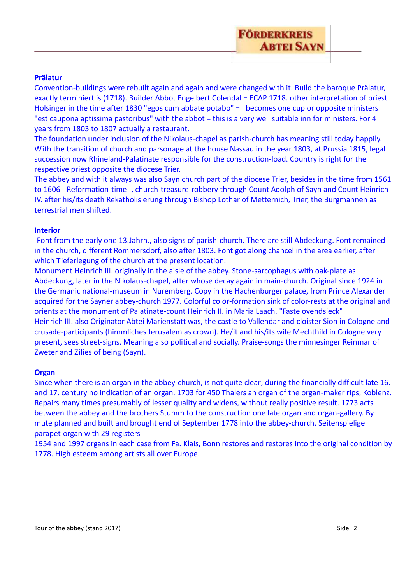## **Prälatur**

Convention-buildings were rebuilt again and again and were changed with it. Build the baroque Prälatur, exactly terminiert is (1718). Builder Abbot Engelbert Colendal = ECAP 1718. other interpretation of priest Holsinger in the time after 1830 "egos cum abbate potabo" = I becomes one cup or opposite ministers "est caupona aptissima pastoribus" with the abbot = this is a very well suitable inn for ministers. For 4 years from 1803 to 1807 actually a restaurant.

The foundation under inclusion of the Nikolaus-chapel as parish-church has meaning still today happily. With the transition of church and parsonage at the house Nassau in the year 1803, at Prussia 1815, legal succession now Rhineland-Palatinate responsible for the construction-load. Country is right for the respective priest opposite the diocese Trier.

The abbey and with it always was also Sayn church part of the diocese Trier, besides in the time from 1561 to 1606 - Reformation-time -, church-treasure-robbery through Count Adolph of Sayn and Count Heinrich IV. after his/its death Rekatholisierung through Bishop Lothar of Metternich, Trier, the Burgmannen as terrestrial men shifted.

## **Interior**

Font from the early one 13.Jahrh., also signs of parish-church. There are still Abdeckung. Font remained in the church, different Rommersdorf, also after 1803. Font got along chancel in the area earlier, after which Tieferlegung of the church at the present location.

Monument Heinrich III. originally in the aisle of the abbey. Stone-sarcophagus with oak-plate as Abdeckung, later in the Nikolaus-chapel, after whose decay again in main-church. Original since 1924 in the Germanic national-museum in Nuremberg. Copy in the Hachenburger palace, from Prince Alexander acquired for the Sayner abbey-church 1977. Colorful color-formation sink of color-rests at the original and orients at the monument of Palatinate-count Heinrich II. in Maria Laach. "Fastelovendsjeck" Heinrich III. also Originator Abtei Marienstatt was, the castle to Vallendar and cloister Sion in Cologne and crusade-participants (himmliches Jerusalem as crown). He/it and his/its wife Mechthild in Cologne very present, sees street-signs. Meaning also political and socially. Praise-songs the minnesinger Reinmar of Zweter and Zilies of being (Sayn).

## **Organ**

Since when there is an organ in the abbey-church, is not quite clear; during the financially difficult late 16. and 17. century no indication of an organ. 1703 for 450 Thalers an organ of the organ-maker rips, Koblenz. Repairs many times presumably of lesser quality and widens, without really positive result. 1773 acts between the abbey and the brothers Stumm to the construction one late organ and organ-gallery. By mute planned and built and brought end of September 1778 into the abbey-church. Seitenspielige parapet-organ with 29 registers

1954 and 1997 organs in each case from Fa. Klais, Bonn restores and restores into the original condition by 1778. High esteem among artists all over Europe.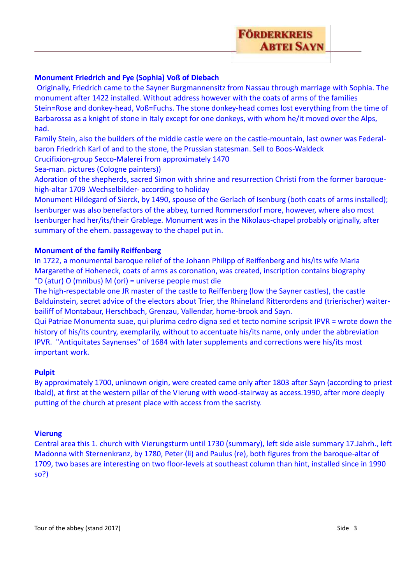# **Monument Friedrich and Fye (Sophia) Voß of Diebach**

Originally, Friedrich came to the Sayner Burgmannensitz from Nassau through marriage with Sophia. The monument after 1422 installed. Without address however with the coats of arms of the families Stein=Rose and donkey-head, Voß=Fuchs. The stone donkey-head comes lost everything from the time of Barbarossa as a knight of stone in Italy except for one donkeys, with whom he/it moved over the Alps, had.

Family Stein, also the builders of the middle castle were on the castle-mountain, last owner was Federalbaron Friedrich Karl of and to the stone, the Prussian statesman. Sell to Boos-Waldeck

Crucifixion-group Secco-Malerei from approximately 1470

Sea-man. pictures (Cologne painters))

Adoration of the shepherds, sacred Simon with shrine and resurrection Christi from the former baroquehigh-altar 1709 .Wechselbilder- according to holiday

Monument Hildegard of Sierck, by 1490, spouse of the Gerlach of Isenburg (both coats of arms installed); Isenburger was also benefactors of the abbey, turned Rommersdorf more, however, where also most Isenburger had her/its/their Grablege. Monument was in the Nikolaus-chapel probably originally, after summary of the ehem. passageway to the chapel put in.

# **Monument of the family Reiffenberg**

In 1722, a monumental baroque relief of the Johann Philipp of Reiffenberg and his/its wife Maria Margarethe of Hoheneck, coats of arms as coronation, was created, inscription contains biography "D (atur) O (mnibus) M (ori) = universe people must die

The high-respectable one JR master of the castle to Reiffenberg (low the Sayner castles), the castle Balduinstein, secret advice of the electors about Trier, the Rhineland Ritterordens and (trierischer) waiterbailiff of Montabaur, Herschbach, Grenzau, Vallendar, home-brook and Sayn.

Qui Patriae Monumenta suae, qui plurima cedro digna sed et tecto nomine scripsit IPVR = wrote down the history of his/its country, exemplarily, without to accentuate his/its name, only under the abbreviation IPVR. "Antiquitates Saynenses" of 1684 with later supplements and corrections were his/its most important work.

# **Pulpit**

By approximately 1700, unknown origin, were created came only after 1803 after Sayn (according to priest Ibald), at first at the western pillar of the Vierung with wood-stairway as access.1990, after more deeply putting of the church at present place with access from the sacristy.

# **Vierung**

Central area this 1. church with Vierungsturm until 1730 (summary), left side aisle summary 17.Jahrh., left Madonna with Sternenkranz, by 1780, Peter (li) and Paulus (re), both figures from the baroque-altar of 1709, two bases are interesting on two floor-levels at southeast column than hint, installed since in 1990 so?)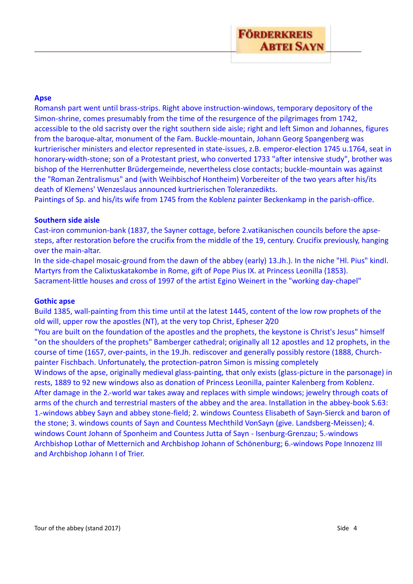# **Apse**

Romansh part went until brass-strips. Right above instruction-windows, temporary depository of the Simon-shrine, comes presumably from the time of the resurgence of the pilgrimages from 1742, accessible to the old sacristy over the right southern side aisle; right and left Simon and Johannes, figures from the baroque-altar, monument of the Fam. Buckle-mountain, Johann Georg Spangenberg was kurtrierischer ministers and elector represented in state-issues, z.B. emperor-election 1745 u.1764, seat in honorary-width-stone; son of a Protestant priest, who converted 1733 "after intensive study", brother was bishop of the Herrenhutter Brüdergemeinde, nevertheless close contacts; buckle-mountain was against the "Roman Zentralismus" and (with Weihbischof Hontheim) Vorbereiter of the two years after his/its death of Klemens' Wenzeslaus announced kurtrierischen Toleranzedikts.

Paintings of Sp. and his/its wife from 1745 from the Koblenz painter Beckenkamp in the parish-office.

## **Southern side aisle**

Cast-iron communion-bank (1837, the Sayner cottage, before 2.vatikanischen councils before the apsesteps, after restoration before the crucifix from the middle of the 19, century. Crucifix previously, hanging over the main-altar.

In the side-chapel mosaic-ground from the dawn of the abbey (early) 13.Jh.). In the niche "Hl. Pius" kindl. Martyrs from the Calixtuskatakombe in Rome, gift of Pope Pius IX. at Princess Leonilla (1853). Sacrament-little houses and cross of 1997 of the artist Egino Weinert in the "working day-chapel"

## **Gothic apse**

Build 1385, wall-painting from this time until at the latest 1445, content of the low row prophets of the old will, upper row the apostles (NT), at the very top Christ, Epheser 2/20

"You are built on the foundation of the apostles and the prophets, the keystone is Christ's Jesus" himself "on the shoulders of the prophets" Bamberger cathedral; originally all 12 apostles and 12 prophets, in the course of time (1657, over-paints, in the 19.Jh. rediscover and generally possibly restore (1888, Churchpainter Fischbach. Unfortunately, the protection-patron Simon is missing completely

Windows of the apse, originally medieval glass-painting, that only exists (glass-picture in the parsonage) in rests, 1889 to 92 new windows also as donation of Princess Leonilla, painter Kalenberg from Koblenz. After damage in the 2.-world war takes away and replaces with simple windows; jewelry through coats of arms of the church and terrestrial masters of the abbey and the area. Installation in the abbey-book S.63: 1.-windows abbey Sayn and abbey stone-field; 2. windows Countess Elisabeth of Sayn-Sierck and baron of the stone; 3. windows counts of Sayn and Countess Mechthild VonSayn (give. Landsberg-Meissen); 4. windows Count Johann of Sponheim and Countess Jutta of Sayn - Isenburg-Grenzau; 5.-windows Archbishop Lothar of Metternich and Archbishop Johann of Schönenburg; 6.-windows Pope Innozenz III and Archbishop Johann I of Trier.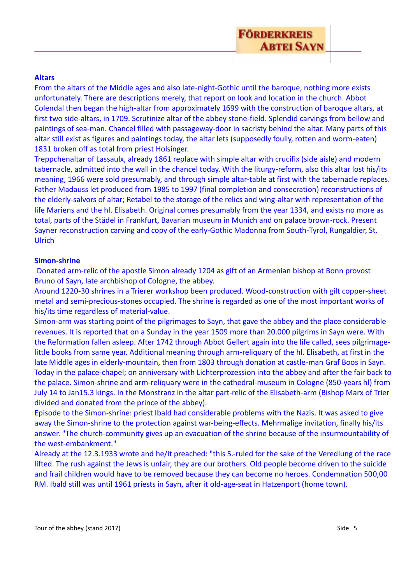# **FÖRDERKREIS ABTEI SAYN**

# **Altars**

From the altars of the Middle ages and also late-night-Gothic until the baroque, nothing more exists unfortunately. There are descriptions merely, that report on look and location in the church. Abbot Colendal then began the high-altar from approximately 1699 with the construction of baroque altars, at first two side-altars, in 1709. Scrutinize altar of the abbey stone-field. Splendid carvings from bellow and paintings of sea-man. Chancel filled with passageway-door in sacristy behind the altar. Many parts of this altar still exist as figures and paintings today, the altar lets (supposedly foully, rotten and worm-eaten) 1831 broken off as total from priest Holsinger.

Treppchenaltar of Lassaulx, already 1861 replace with simple altar with crucifix (side aisle) and modern tabernacle, admitted into the wall in the chancel today. With the liturgy-reform, also this altar lost his/its meaning, 1966 were sold presumably, and through simple altar-table at first with the tabernacle replaces. Father Madauss let produced from 1985 to 1997 (final completion and consecration) reconstructions of the elderly-salvors of altar; Retabel to the storage of the relics and wing-altar with representation of the life Mariens and the hl. Elisabeth. Original comes presumably from the year 1334, and exists no more as total, parts of the Städel in Frankfurt, Bavarian museum in Munich and on palace brown-rock. Present Sayner reconstruction carving and copy of the early-Gothic Madonna from South-Tyrol, Rungaldier, St. Ulrich

#### **Simon-shrine**

Donated arm-relic of the apostle Simon already 1204 as gift of an Armenian bishop at Bonn provost Bruno of Sayn, late archbishop of Cologne, the abbey.

Around 1220-30 shrines in a Trierer workshop been produced. Wood-construction with gilt copper-sheet metal and semi-precious-stones occupied. The shrine is regarded as one of the most important works of his/its time regardless of material-value.

Simon-arm was starting point of the pilgrimages to Sayn, that gave the abbey and the place considerable revenues. It is reported that on a Sunday in the year 1509 more than 20.000 pilgrims in Sayn were. With the Reformation fallen asleep. After 1742 through Abbot Gellert again into the life called, sees pilgrimagelittle books from same year. Additional meaning through arm-reliquary of the hl. Elisabeth, at first in the late Middle ages in elderly-mountain, then from 1803 through donation at castle-man Graf Boos in Sayn. Today in the palace-chapel; on anniversary with Lichterprozession into the abbey and after the fair back to the palace. Simon-shrine and arm-reliquary were in the cathedral-museum in Cologne (850-years hl) from July 14 to Jan15.3 kings. In the Monstranz in the altar part-relic of the Elisabeth-arm (Bishop Marx of Trier divided and donated from the prince of the abbey).

Episode to the Simon-shrine: priest Ibald had considerable problems with the Nazis. It was asked to give away the Simon-shrine to the protection against war-being-effects. Mehrmalige invitation, finally his/its answer. "The church-community gives up an evacuation of the shrine because of the insurmountability of the west-embankment."

Already at the 12.3.1933 wrote and he/it preached: "this 5.-ruled for the sake of the Veredlung of the race lifted. The rush against the Jews is unfair, they are our brothers. Old people become driven to the suicide and frail children would have to be removed because they can become no heroes. Condemnation 500,00 RM. Ibald still was until 1961 priests in Sayn, after it old-age-seat in Hatzenport (home town).